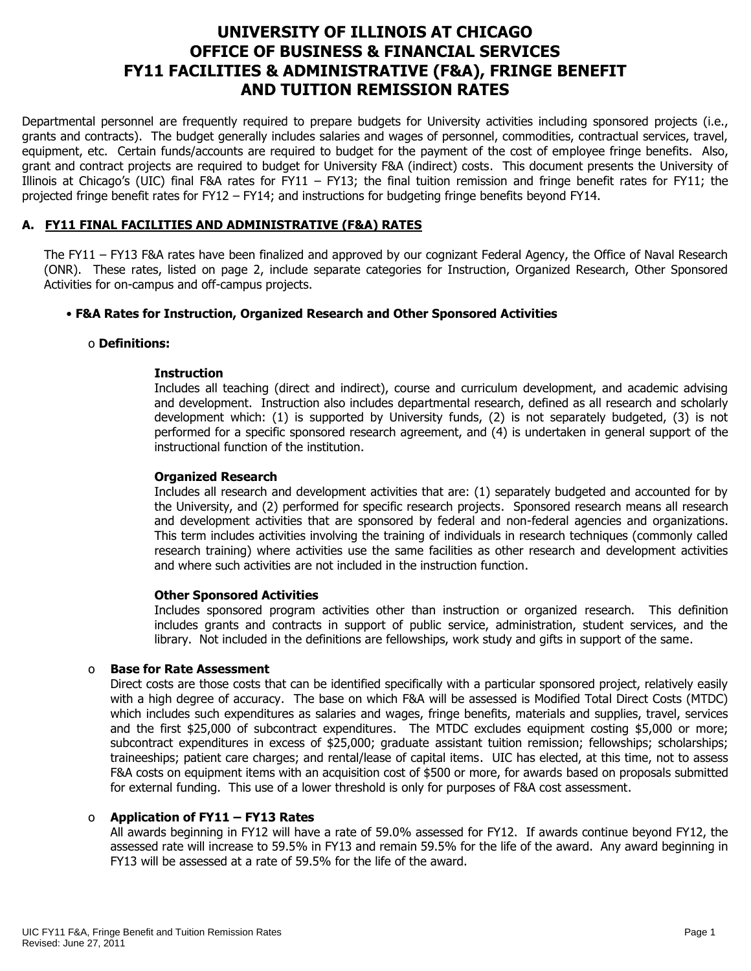# **UNIVERSITY OF ILLINOIS AT CHICAGO OFFICE OF BUSINESS & FINANCIAL SERVICES FY11 FACILITIES & ADMINISTRATIVE (F&A), FRINGE BENEFIT AND TUITION REMISSION RATES**

Departmental personnel are frequently required to prepare budgets for University activities including sponsored projects (i.e., grants and contracts). The budget generally includes salaries and wages of personnel, commodities, contractual services, travel, equipment, etc. Certain funds/accounts are required to budget for the payment of the cost of employee fringe benefits. Also, grant and contract projects are required to budget for University F&A (indirect) costs. This document presents the University of Illinois at Chicago's (UIC) final F&A rates for FY11 – FY13; the final tuition remission and fringe benefit rates for FY11; the projected fringe benefit rates for FY12 – FY14; and instructions for budgeting fringe benefits beyond FY14.

# **A. FY11 FINAL FACILITIES AND ADMINISTRATIVE (F&A) RATES**

The FY11 – FY13 F&A rates have been finalized and approved by our cognizant Federal Agency, the Office of Naval Research (ONR). These rates, listed on page 2, include separate categories for Instruction, Organized Research, Other Sponsored Activities for on-campus and off-campus projects.

# • **F&A Rates for Instruction, Organized Research and Other Sponsored Activities**

#### o **Definitions:**

### **Instruction**

Includes all teaching (direct and indirect), course and curriculum development, and academic advising and development. Instruction also includes departmental research, defined as all research and scholarly development which: (1) is supported by University funds, (2) is not separately budgeted, (3) is not performed for a specific sponsored research agreement, and (4) is undertaken in general support of the instructional function of the institution.

#### **Organized Research**

Includes all research and development activities that are: (1) separately budgeted and accounted for by the University, and (2) performed for specific research projects. Sponsored research means all research and development activities that are sponsored by federal and non-federal agencies and organizations. This term includes activities involving the training of individuals in research techniques (commonly called research training) where activities use the same facilities as other research and development activities and where such activities are not included in the instruction function.

#### **Other Sponsored Activities**

Includes sponsored program activities other than instruction or organized research. This definition includes grants and contracts in support of public service, administration, student services, and the library. Not included in the definitions are fellowships, work study and gifts in support of the same.

### o **Base for Rate Assessment**

Direct costs are those costs that can be identified specifically with a particular sponsored project, relatively easily with a high degree of accuracy. The base on which F&A will be assessed is Modified Total Direct Costs (MTDC) which includes such expenditures as salaries and wages, fringe benefits, materials and supplies, travel, services and the first \$25,000 of subcontract expenditures. The MTDC excludes equipment costing \$5,000 or more; subcontract expenditures in excess of \$25,000; graduate assistant tuition remission; fellowships; scholarships; traineeships; patient care charges; and rental/lease of capital items. UIC has elected, at this time, not to assess F&A costs on equipment items with an acquisition cost of \$500 or more, for awards based on proposals submitted for external funding. This use of a lower threshold is only for purposes of F&A cost assessment.

### o **Application of FY11 – FY13 Rates**

All awards beginning in FY12 will have a rate of 59.0% assessed for FY12. If awards continue beyond FY12, the assessed rate will increase to 59.5% in FY13 and remain 59.5% for the life of the award. Any award beginning in FY13 will be assessed at a rate of 59.5% for the life of the award.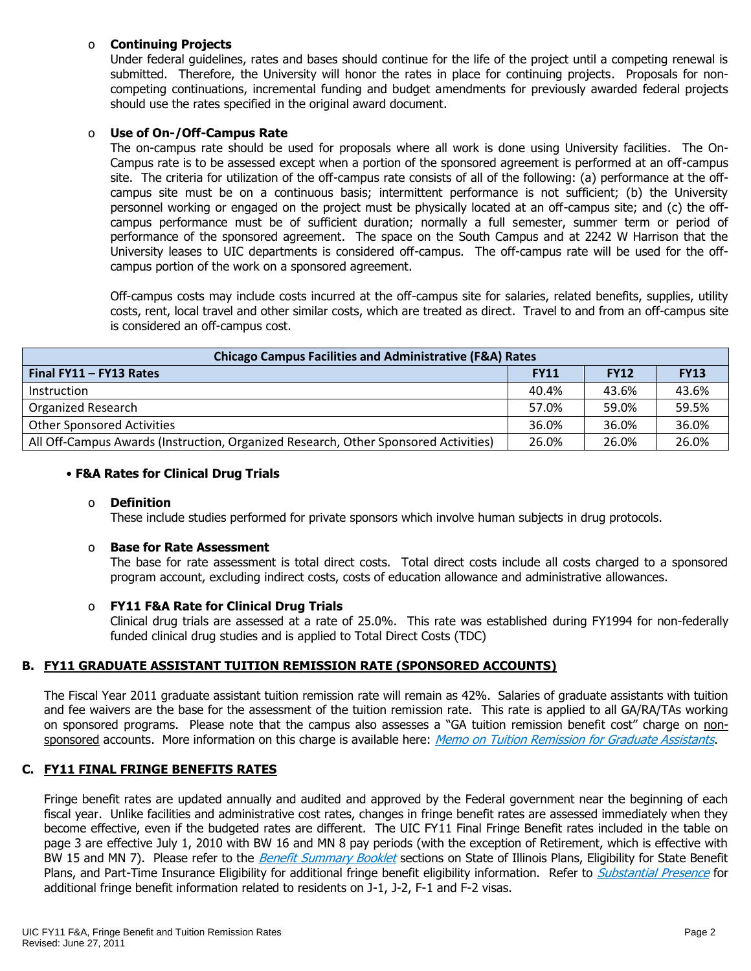## o **Continuing Projects**

Under federal guidelines, rates and bases should continue for the life of the project until a competing renewal is submitted. Therefore, the University will honor the rates in place for continuing projects. Proposals for noncompeting continuations, incremental funding and budget amendments for previously awarded federal projects should use the rates specified in the original award document.

## o **Use of On-/Off-Campus Rate**

The on-campus rate should be used for proposals where all work is done using University facilities. The On-Campus rate is to be assessed except when a portion of the sponsored agreement is performed at an off-campus site. The criteria for utilization of the off-campus rate consists of all of the following: (a) performance at the offcampus site must be on a continuous basis; intermittent performance is not sufficient; (b) the University personnel working or engaged on the project must be physically located at an off-campus site; and (c) the offcampus performance must be of sufficient duration; normally a full semester, summer term or period of performance of the sponsored agreement. The space on the South Campus and at 2242 W Harrison that the University leases to UIC departments is considered off-campus. The off-campus rate will be used for the offcampus portion of the work on a sponsored agreement.

Off-campus costs may include costs incurred at the off-campus site for salaries, related benefits, supplies, utility costs, rent, local travel and other similar costs, which are treated as direct. Travel to and from an off-campus site is considered an off-campus cost.

| <b>Chicago Campus Facilities and Administrative (F&amp;A) Rates</b>                 |             |             |             |  |  |  |  |
|-------------------------------------------------------------------------------------|-------------|-------------|-------------|--|--|--|--|
| Final FY11 - FY13 Rates                                                             | <b>FY11</b> | <b>FY12</b> | <b>FY13</b> |  |  |  |  |
| Instruction                                                                         | 40.4%       | 43.6%       | 43.6%       |  |  |  |  |
| <b>Organized Research</b>                                                           | 57.0%       | 59.0%       | 59.5%       |  |  |  |  |
| <b>Other Sponsored Activities</b>                                                   | 36.0%       | 36.0%       | 36.0%       |  |  |  |  |
| All Off-Campus Awards (Instruction, Organized Research, Other Sponsored Activities) | 26.0%       | 26.0%       | 26.0%       |  |  |  |  |

### • **F&A Rates for Clinical Drug Trials**

### o **Definition**

These include studies performed for private sponsors which involve human subjects in drug protocols.

#### o **Base for Rate Assessment**

The base for rate assessment is total direct costs. Total direct costs include all costs charged to a sponsored program account, excluding indirect costs, costs of education allowance and administrative allowances.

### o **FY11 F&A Rate for Clinical Drug Trials**

Clinical drug trials are assessed at a rate of 25.0%. This rate was established during FY1994 for non-federally funded clinical drug studies and is applied to Total Direct Costs (TDC)

### **B. FY11 GRADUATE ASSISTANT TUITION REMISSION RATE (SPONSORED ACCOUNTS)**

The Fiscal Year 2011 graduate assistant tuition remission rate will remain as 42%.Salaries of graduate assistants with tuition and fee waivers are the base for the assessment of the tuition remission rate. This rate is applied to all GA/RA/TAs working on sponsored programs. Please note that the campus also assesses a "GA tuition remission benefit cost" charge on non-sponsored accounts. More information on this charge is available here: [Memo on Tuition Remission for Graduate Assistants](https://www.obfs.uillinois.edu/common/pages/DisplayFile.aspx?itemId=436386).

### **C. FY11 FINAL FRINGE BENEFITS RATES**

Fringe benefit rates are updated annually and audited and approved by the Federal government near the beginning of each fiscal year. Unlike facilities and administrative cost rates, changes in fringe benefit rates are assessed immediately when they become effective, even if the budgeted rates are different. The UIC FY11 Final Fringe Benefit rates included in the table on page 3 are effective July 1, 2010 with BW 16 and MN 8 pay periods (with the exception of Retirement, which is effective with BW 15 and MN 7). Please refer to the [Benefit Summary Booklet](https://nessie.uihr.uillinois.edu/pdf/benefits/benefitsummarybooklet.pdf) sections on State of Illinois Plans, Eligibility for State Benefit Plans, and Part-Time Insurance Eligibility for additional fringe benefit eligibility information. Refer to [Substantial Presence](http://www.uic.edu/com/gme/rpm_comp___benefits.htm#real_substantial_pres) for additional fringe benefit information related to residents on J-1, J-2, F-1 and F-2 visas.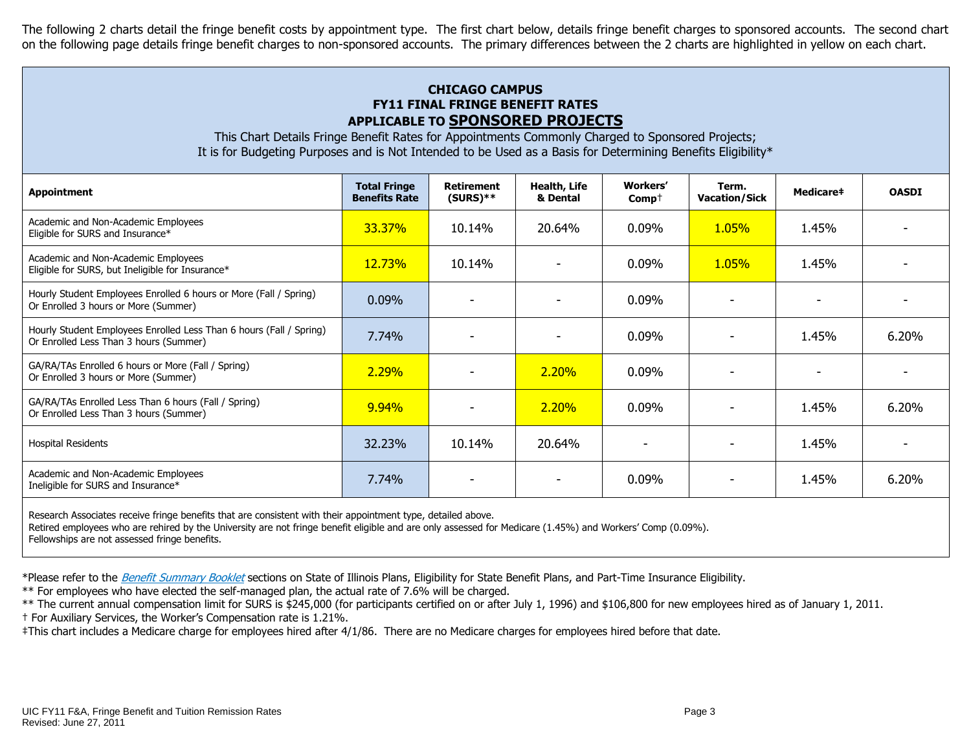The following 2 charts detail the fringe benefit costs by appointment type. The first chart below, details fringe benefit charges to sponsored accounts. The second chart on the following page details fringe benefit charges to non-sponsored accounts. The primary differences between the 2 charts are highlighted in yellow on each chart.

# **CHICAGO CAMPUS FY11 FINAL FRINGE BENEFIT RATES APPLICABLE TO SPONSORED PROJECTS**

This Chart Details Fringe Benefit Rates for Appointments Commonly Charged to Sponsored Projects; It is for Budgeting Purposes and is Not Intended to be Used as a Basis for Determining Benefits Eligibility\*

| <b>Appointment</b>                                                                                            | <b>Total Fringe</b><br><b>Benefits Rate</b> | <b>Retirement</b><br>$(SURS)**$ | Health, Life<br>& Dental | <b>Workers'</b><br>$Comp+$ | Term.<br><b>Vacation/Sick</b> | Medicare‡ | <b>OASDI</b> |
|---------------------------------------------------------------------------------------------------------------|---------------------------------------------|---------------------------------|--------------------------|----------------------------|-------------------------------|-----------|--------------|
| Academic and Non-Academic Employees<br>Eligible for SURS and Insurance*                                       | <b>33.37%</b>                               | 10.14%                          | 20.64%                   | $0.09\%$                   | <b>1.05%</b>                  | 1.45%     |              |
| Academic and Non-Academic Employees<br>Eligible for SURS, but Ineligible for Insurance*                       | <b>12.73%</b>                               | 10.14%                          |                          | 0.09%                      | <b>1.05%</b>                  | 1.45%     |              |
| Hourly Student Employees Enrolled 6 hours or More (Fall / Spring)<br>Or Enrolled 3 hours or More (Summer)     | $0.09\%$                                    |                                 |                          | 0.09%                      |                               |           |              |
| Hourly Student Employees Enrolled Less Than 6 hours (Fall / Spring)<br>Or Enrolled Less Than 3 hours (Summer) | 7.74%                                       |                                 |                          | 0.09%                      |                               | 1.45%     | 6.20%        |
| GA/RA/TAs Enrolled 6 hours or More (Fall / Spring)<br>Or Enrolled 3 hours or More (Summer)                    | 2.29%                                       |                                 | 2.20%                    | $0.09\%$                   |                               |           |              |
| GA/RA/TAs Enrolled Less Than 6 hours (Fall / Spring)<br>Or Enrolled Less Than 3 hours (Summer)                | 9.94%                                       |                                 | 2.20%                    | $0.09\%$                   |                               | 1.45%     | 6.20%        |
| <b>Hospital Residents</b>                                                                                     | 32.23%                                      | 10.14%                          | 20.64%                   |                            |                               | 1.45%     |              |
| Academic and Non-Academic Employees<br>Ineligible for SURS and Insurance*                                     | 7.74%                                       |                                 |                          | 0.09%                      |                               | 1.45%     | 6.20%        |

Research Associates receive fringe benefits that are consistent with their appointment type, detailed above.

Retired employees who are rehired by the University are not fringe benefit eligible and are only assessed for Medicare (1.45%) and Workers' Comp (0.09%).

Fellowships are not assessed fringe benefits.

\*Please refer to the [Benefit Summary Booklet](https://nessie.uihr.uillinois.edu/pdf/benefits/benefitsummarybooklet.pdf) sections on State of Illinois Plans, Eligibility for State Benefit Plans, and Part-Time Insurance Eligibility.

\*\* For employees who have elected the self-managed plan, the actual rate of 7.6% will be charged.

\*\* The current annual compensation limit for SURS is \$245,000 (for participants certified on or after July 1, 1996) and \$106,800 for new employees hired as of January 1, 2011.

† For Auxiliary Services, the Worker's Compensation rate is 1.21%.

‡This chart includes a Medicare charge for employees hired after 4/1/86. There are no Medicare charges for employees hired before that date.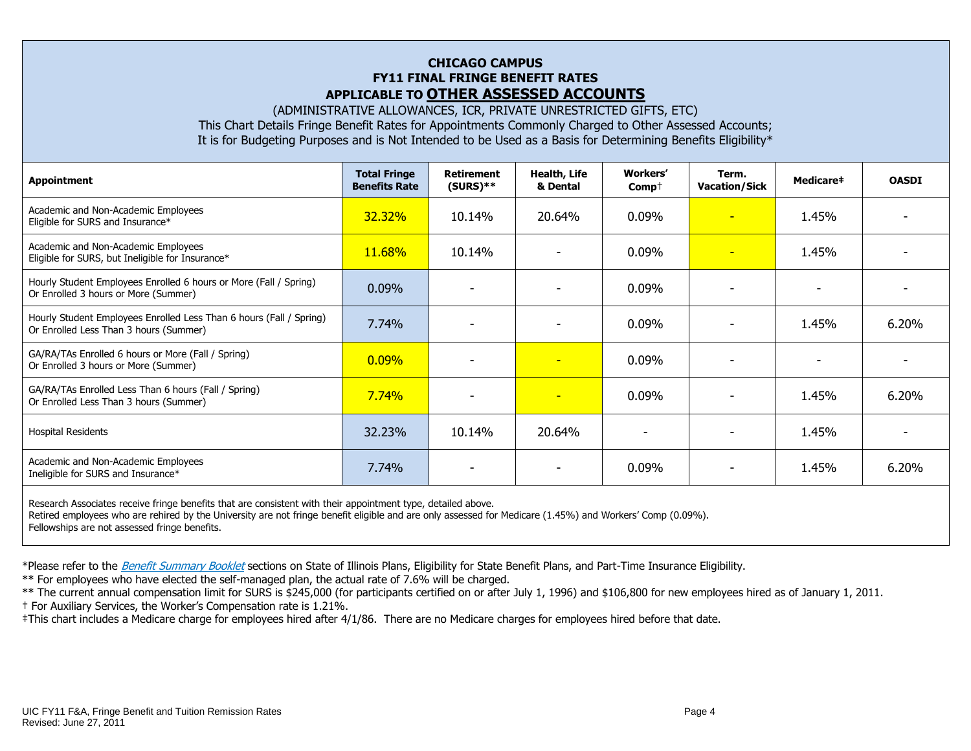#### **CHICAGO CAMPUS FY11 FINAL FRINGE BENEFIT RATES APPLICABLE TO OTHER ASSESSED ACCOUNTS**

(ADMINISTRATIVE ALLOWANCES, ICR, PRIVATE UNRESTRICTED GIFTS, ETC)

This Chart Details Fringe Benefit Rates for Appointments Commonly Charged to Other Assessed Accounts; It is for Budgeting Purposes and is Not Intended to be Used as a Basis for Determining Benefits Eligibility\*

| Appointment                                                                                                   | <b>Total Fringe</b><br><b>Benefits Rate</b> | <b>Retirement</b><br>$(SURS)**$ | Health, Life<br>& Dental | <b>Workers'</b><br>$Comp+$ | Term.<br><b>Vacation/Sick</b> | <b>Medicare‡</b>         | <b>OASDI</b> |
|---------------------------------------------------------------------------------------------------------------|---------------------------------------------|---------------------------------|--------------------------|----------------------------|-------------------------------|--------------------------|--------------|
| Academic and Non-Academic Employees<br>Eligible for SURS and Insurance*                                       | 32.32%                                      | 10.14%                          | 20.64%                   | 0.09%                      | ٠                             | 1.45%                    |              |
| Academic and Non-Academic Employees<br>Eligible for SURS, but Ineligible for Insurance*                       | 11.68%                                      | 10.14%                          |                          | 0.09%                      |                               | 1.45%                    |              |
| Hourly Student Employees Enrolled 6 hours or More (Fall / Spring)<br>Or Enrolled 3 hours or More (Summer)     | $0.09\%$                                    | $\overline{\phantom{a}}$        |                          | 0.09%                      | $\overline{\phantom{a}}$      | $\overline{\phantom{a}}$ |              |
| Hourly Student Employees Enrolled Less Than 6 hours (Fall / Spring)<br>Or Enrolled Less Than 3 hours (Summer) | $7.74\%$                                    |                                 |                          | $0.09\%$                   |                               | 1.45%                    | 6.20%        |
| GA/RA/TAs Enrolled 6 hours or More (Fall / Spring)<br>Or Enrolled 3 hours or More (Summer)                    | $0.09\%$                                    |                                 | $\overline{\phantom{0}}$ | $0.09\%$                   |                               |                          |              |
| GA/RA/TAs Enrolled Less Than 6 hours (Fall / Spring)<br>Or Enrolled Less Than 3 hours (Summer)                | 7.74%                                       |                                 | $\overline{\phantom{a}}$ | 0.09%                      |                               | 1.45%                    | 6.20%        |
| <b>Hospital Residents</b>                                                                                     | 32.23%                                      | 10.14%                          | 20.64%                   |                            |                               | 1.45%                    |              |
| Academic and Non-Academic Employees<br>Ineligible for SURS and Insurance*                                     | 7.74%                                       | ۰                               |                          | $0.09\%$                   |                               | 1.45%                    | 6.20%        |

Research Associates receive fringe benefits that are consistent with their appointment type, detailed above. Retired employees who are rehired by the University are not fringe benefit eligible and are only assessed for Medicare (1.45%) and Workers' Comp (0.09%). Fellowships are not assessed fringe benefits.

\*Please refer to the [Benefit Summary Booklet](https://nessie.uihr.uillinois.edu/pdf/benefits/benefitsummarybooklet.pdf) sections on State of Illinois Plans, Eligibility for State Benefit Plans, and Part-Time Insurance Eligibility.

\*\* For employees who have elected the self-managed plan, the actual rate of 7.6% will be charged.

\*\* The current annual compensation limit for SURS is \$245,000 (for participants certified on or after July 1, 1996) and \$106,800 for new employees hired as of January 1, 2011. † For Auxiliary Services, the Worker's Compensation rate is 1.21%.

‡This chart includes a Medicare charge for employees hired after 4/1/86. There are no Medicare charges for employees hired before that date.